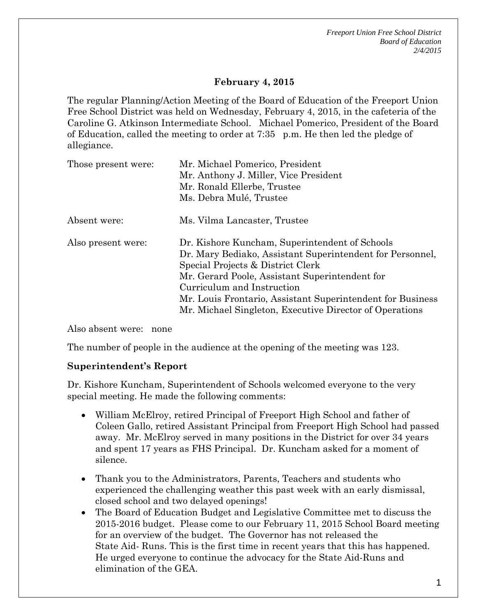*Freeport Union Free School District Board of Education 2/4/2015*

# **February 4, 2015**

The regular Planning/Action Meeting of the Board of Education of the Freeport Union Free School District was held on Wednesday, February 4, 2015, in the cafeteria of the Caroline G. Atkinson Intermediate School. Michael Pomerico, President of the Board of Education, called the meeting to order at 7:35 p.m. He then led the pledge of allegiance.

| Those present were: | Mr. Michael Pomerico, President<br>Mr. Anthony J. Miller, Vice President<br>Mr. Ronald Ellerbe, Trustee<br>Ms. Debra Mulé, Trustee                                                                                                                                                                                                                        |
|---------------------|-----------------------------------------------------------------------------------------------------------------------------------------------------------------------------------------------------------------------------------------------------------------------------------------------------------------------------------------------------------|
| Absent were:        | Ms. Vilma Lancaster, Trustee                                                                                                                                                                                                                                                                                                                              |
| Also present were:  | Dr. Kishore Kuncham, Superintendent of Schools<br>Dr. Mary Bediako, Assistant Superintendent for Personnel,<br>Special Projects & District Clerk<br>Mr. Gerard Poole, Assistant Superintendent for<br>Curriculum and Instruction<br>Mr. Louis Frontario, Assistant Superintendent for Business<br>Mr. Michael Singleton, Executive Director of Operations |

Also absent were: none

The number of people in the audience at the opening of the meeting was 123.

### **Superintendent's Report**

Dr. Kishore Kuncham, Superintendent of Schools welcomed everyone to the very special meeting. He made the following comments:

- William McElroy, retired Principal of Freeport High School and father of Coleen Gallo, retired Assistant Principal from Freeport High School had passed away. Mr. McElroy served in many positions in the District for over 34 years and spent 17 years as FHS Principal. Dr. Kuncham asked for a moment of silence.
- Thank you to the Administrators, Parents, Teachers and students who experienced the challenging weather this past week with an early dismissal, closed school and two delayed openings!
- The Board of Education Budget and Legislative Committee met to discuss the 2015-2016 budget. Please come to our February 11, 2015 School Board meeting for an overview of the budget. The Governor has not released the State Aid- Runs. This is the first time in recent years that this has happened. He urged everyone to continue the advocacy for the State Aid-Runs and elimination of the GEA.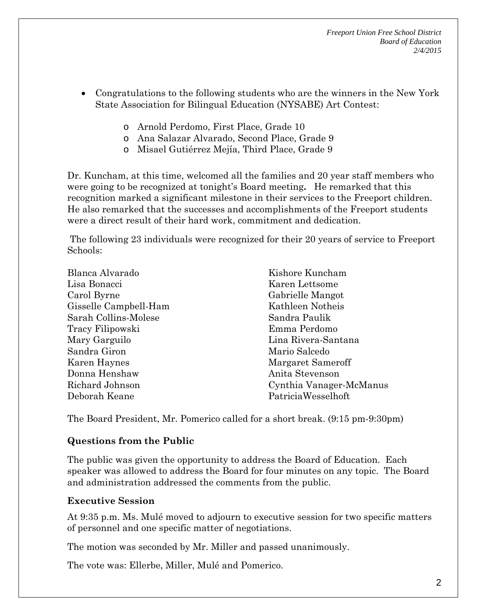*Freeport Union Free School District Board of Education 2/4/2015*

- Congratulations to the following students who are the winners in the New York State Association for Bilingual Education (NYSABE) Art Contest:
	- o Arnold Perdomo, First Place, Grade 10
	- o Ana Salazar Alvarado, Second Place, Grade 9
	- o Misael Gutiérrez Mejía, Third Place, Grade 9

Dr. Kuncham, at this time, welcomed all the families and 20 year staff members who were going to be recognized at tonight's Board meeting**.** He remarked that this recognition marked a significant milestone in their services to the Freeport children. He also remarked that the successes and accomplishments of the Freeport students were a direct result of their hard work, commitment and dedication.

The following 23 individuals were recognized for their 20 years of service to Freeport Schools:

| Blanca Alvarado       | Kishore Kuncham         |
|-----------------------|-------------------------|
| Lisa Bonacci          | Karen Lettsome          |
| Carol Byrne           | Gabrielle Mangot        |
| Gisselle Campbell-Ham | Kathleen Notheis        |
| Sarah Collins-Molese  | Sandra Paulik           |
| Tracy Filipowski      | Emma Perdomo            |
| Mary Garguilo         | Lina Rivera-Santana     |
| Sandra Giron          | Mario Salcedo           |
| Karen Haynes          | Margaret Sameroff       |
| Donna Henshaw         | Anita Stevenson         |
| Richard Johnson       | Cynthia Vanager-McManus |
| Deborah Keane         | PatriciaWesselhoft      |

The Board President, Mr. Pomerico called for a short break. (9:15 pm-9:30pm)

### **Questions from the Public**

The public was given the opportunity to address the Board of Education. Each speaker was allowed to address the Board for four minutes on any topic. The Board and administration addressed the comments from the public.

### **Executive Session**

At 9:35 p.m. Ms. Mulé moved to adjourn to executive session for two specific matters of personnel and one specific matter of negotiations.

The motion was seconded by Mr. Miller and passed unanimously.

The vote was: Ellerbe, Miller, Mulé and Pomerico.